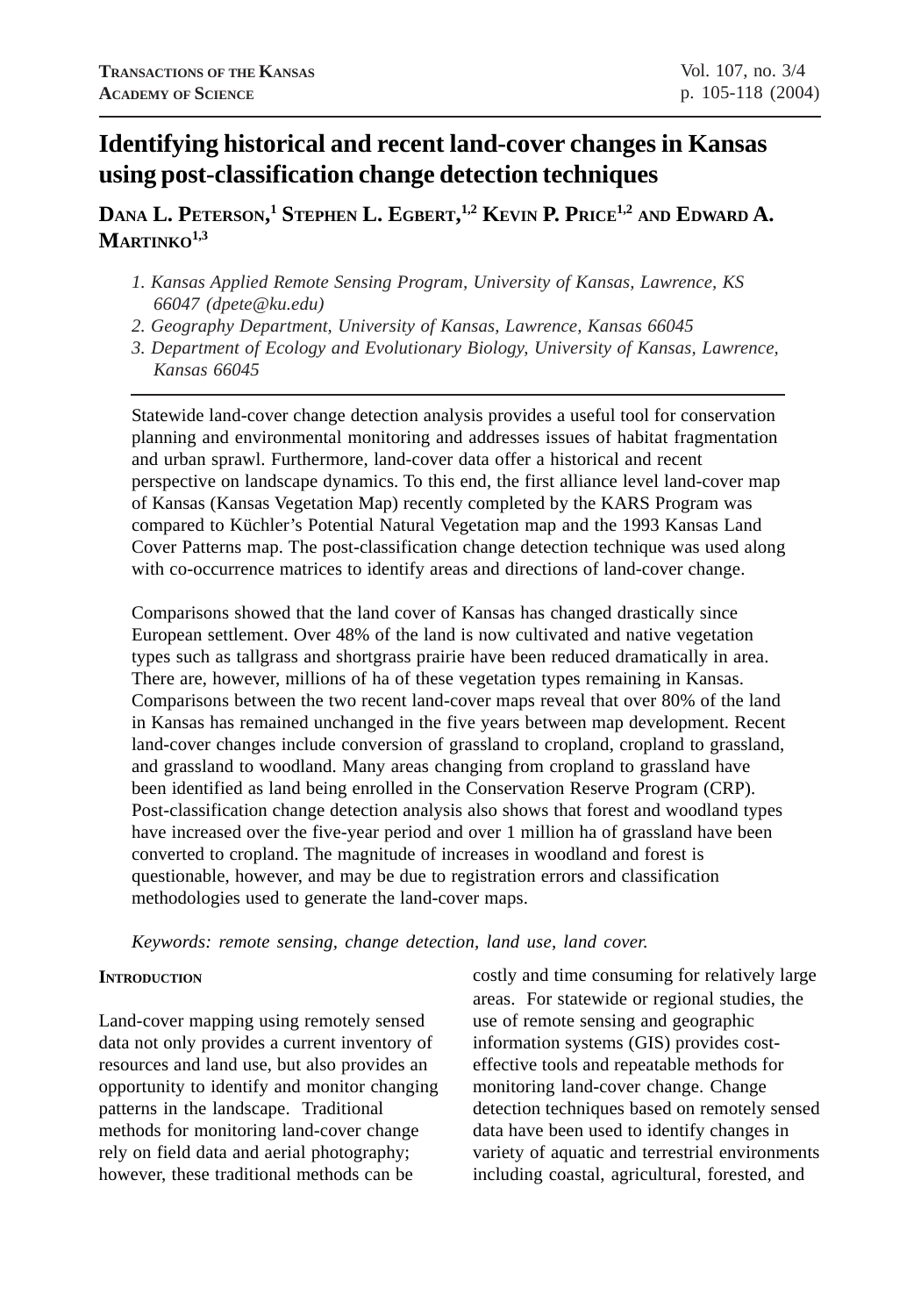# **Identifying historical and recent land-cover changes in Kansas using post-classification change detection techniques**

# **DANA L. PETERSON, 1 STEPHEN L. EGBERT, 1,2 KEVIN P. PRICE1,2 AND EDWARD A. MARTINKO1,3**

- *1. Kansas Applied Remote Sensing Program, University of Kansas, Lawrence, KS 66047 (dpete@ku.edu)*
- *2. Geography Department, University of Kansas, Lawrence, Kansas 66045*
- *3. Department of Ecology and Evolutionary Biology, University of Kansas, Lawrence, Kansas 66045*

Statewide land-cover change detection analysis provides a useful tool for conservation planning and environmental monitoring and addresses issues of habitat fragmentation and urban sprawl. Furthermore, land-cover data offer a historical and recent perspective on landscape dynamics. To this end, the first alliance level land-cover map of Kansas (Kansas Vegetation Map) recently completed by the KARS Program was compared to Küchler's Potential Natural Vegetation map and the 1993 Kansas Land Cover Patterns map. The post-classification change detection technique was used along with co-occurrence matrices to identify areas and directions of land-cover change.

Comparisons showed that the land cover of Kansas has changed drastically since European settlement. Over 48% of the land is now cultivated and native vegetation types such as tallgrass and shortgrass prairie have been reduced dramatically in area. There are, however, millions of ha of these vegetation types remaining in Kansas. Comparisons between the two recent land-cover maps reveal that over 80% of the land in Kansas has remained unchanged in the five years between map development. Recent land-cover changes include conversion of grassland to cropland, cropland to grassland, and grassland to woodland. Many areas changing from cropland to grassland have been identified as land being enrolled in the Conservation Reserve Program (CRP). Post-classification change detection analysis also shows that forest and woodland types have increased over the five-year period and over 1 million ha of grassland have been converted to cropland. The magnitude of increases in woodland and forest is questionable, however, and may be due to registration errors and classification methodologies used to generate the land-cover maps.

*Keywords: remote sensing, change detection, land use, land cover.*

### **INTRODUCTION**

Land-cover mapping using remotely sensed data not only provides a current inventory of resources and land use, but also provides an opportunity to identify and monitor changing patterns in the landscape. Traditional methods for monitoring land-cover change rely on field data and aerial photography; however, these traditional methods can be

costly and time consuming for relatively large areas. For statewide or regional studies, the use of remote sensing and geographic information systems (GIS) provides costeffective tools and repeatable methods for monitoring land-cover change. Change detection techniques based on remotely sensed data have been used to identify changes in variety of aquatic and terrestrial environments including coastal, agricultural, forested, and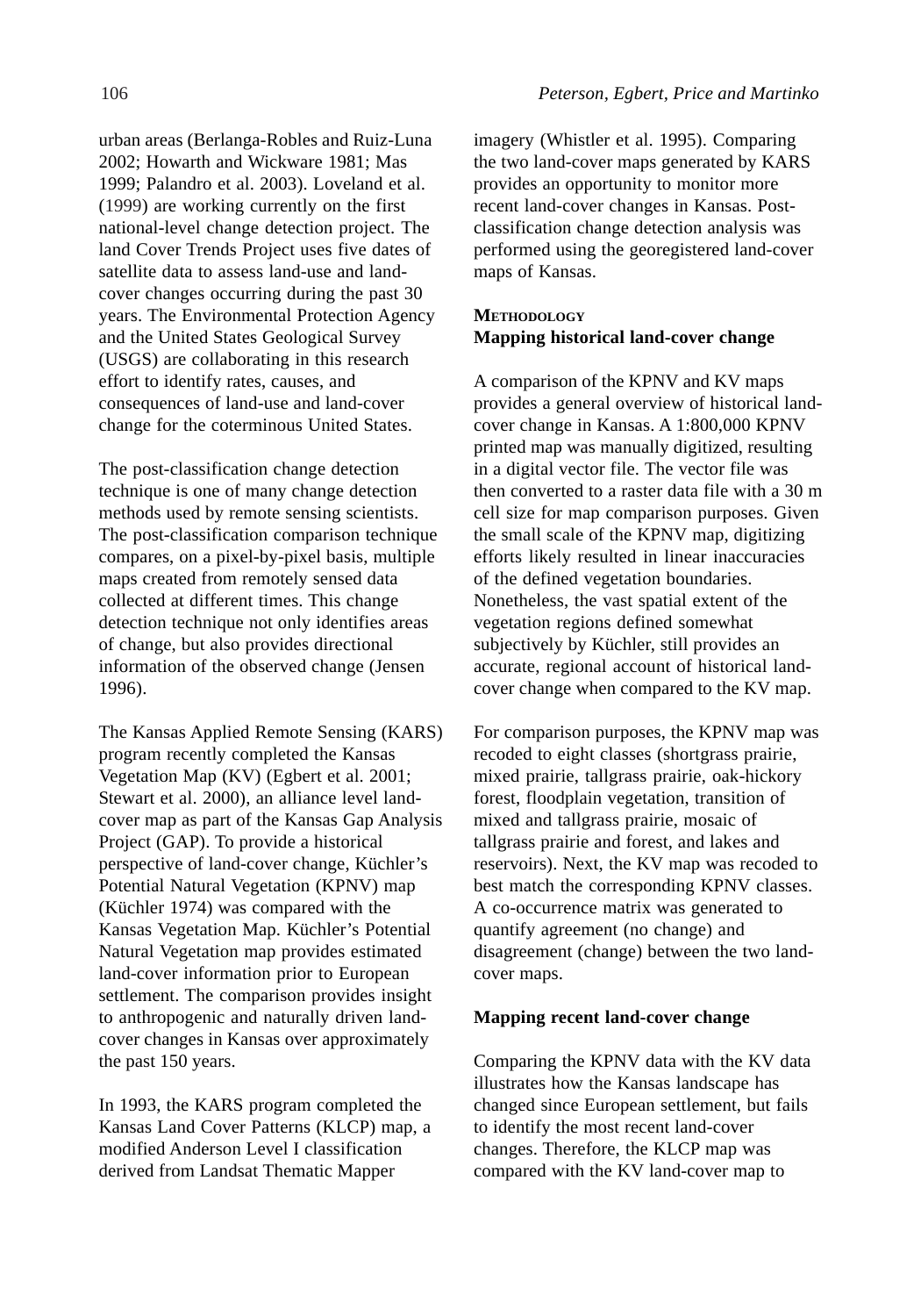urban areas (Berlanga-Robles and Ruiz-Luna 2002; Howarth and Wickware 1981; Mas 1999; Palandro et al. 2003). Loveland et al. (1999) are working currently on the first national-level change detection project. The land Cover Trends Project uses five dates of satellite data to assess land-use and landcover changes occurring during the past 30 years. The Environmental Protection Agency and the United States Geological Survey (USGS) are collaborating in this research effort to identify rates, causes, and consequences of land-use and land-cover change for the coterminous United States.

The post-classification change detection technique is one of many change detection methods used by remote sensing scientists. The post-classification comparison technique compares, on a pixel-by-pixel basis, multiple maps created from remotely sensed data collected at different times. This change detection technique not only identifies areas of change, but also provides directional information of the observed change (Jensen 1996).

The Kansas Applied Remote Sensing (KARS) program recently completed the Kansas Vegetation Map (KV) (Egbert et al. 2001; Stewart et al. 2000), an alliance level landcover map as part of the Kansas Gap Analysis Project (GAP). To provide a historical perspective of land-cover change, Küchler's Potential Natural Vegetation (KPNV) map (Küchler 1974) was compared with the Kansas Vegetation Map. Küchler's Potential Natural Vegetation map provides estimated land-cover information prior to European settlement. The comparison provides insight to anthropogenic and naturally driven landcover changes in Kansas over approximately the past 150 years.

In 1993, the KARS program completed the Kansas Land Cover Patterns (KLCP) map, a modified Anderson Level I classification derived from Landsat Thematic Mapper

imagery (Whistler et al. 1995). Comparing the two land-cover maps generated by KARS provides an opportunity to monitor more recent land-cover changes in Kansas. Postclassification change detection analysis was performed using the georegistered land-cover maps of Kansas.

# **METHODOLOGY Mapping historical land-cover change**

A comparison of the KPNV and KV maps provides a general overview of historical landcover change in Kansas. A 1:800,000 KPNV printed map was manually digitized, resulting in a digital vector file. The vector file was then converted to a raster data file with a 30 m cell size for map comparison purposes. Given the small scale of the KPNV map, digitizing efforts likely resulted in linear inaccuracies of the defined vegetation boundaries. Nonetheless, the vast spatial extent of the vegetation regions defined somewhat subjectively by Küchler, still provides an accurate, regional account of historical landcover change when compared to the KV map.

For comparison purposes, the KPNV map was recoded to eight classes (shortgrass prairie, mixed prairie, tallgrass prairie, oak-hickory forest, floodplain vegetation, transition of mixed and tallgrass prairie, mosaic of tallgrass prairie and forest, and lakes and reservoirs). Next, the KV map was recoded to best match the corresponding KPNV classes. A co-occurrence matrix was generated to quantify agreement (no change) and disagreement (change) between the two landcover maps.

#### **Mapping recent land-cover change**

Comparing the KPNV data with the KV data illustrates how the Kansas landscape has changed since European settlement, but fails to identify the most recent land-cover changes. Therefore, the KLCP map was compared with the KV land-cover map to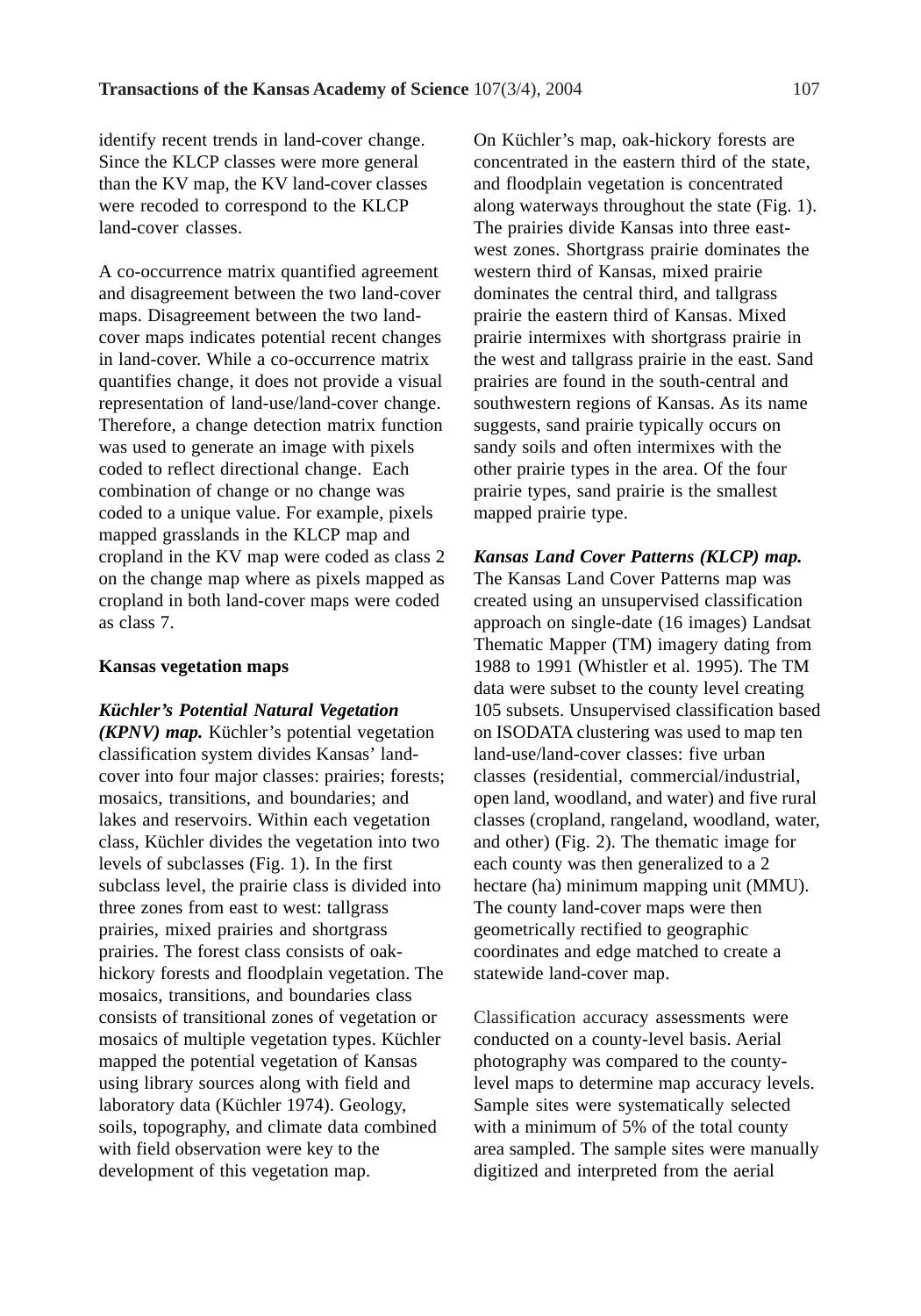identify recent trends in land-cover change. Since the KLCP classes were more general than the KV map, the KV land-cover classes were recoded to correspond to the KLCP land-cover classes.

A co-occurrence matrix quantified agreement and disagreement between the two land-cover maps. Disagreement between the two landcover maps indicates potential recent changes in land-cover. While a co-occurrence matrix quantifies change, it does not provide a visual representation of land-use/land-cover change. Therefore, a change detection matrix function was used to generate an image with pixels coded to reflect directional change. Each combination of change or no change was coded to a unique value. For example, pixels mapped grasslands in the KLCP map and cropland in the KV map were coded as class 2 on the change map where as pixels mapped as cropland in both land-cover maps were coded as class 7.

#### **Kansas vegetation maps**

#### *Küchler's Potential Natural Vegetation*

*(KPNV) map.* Küchler's potential vegetation classification system divides Kansas' landcover into four major classes: prairies; forests; mosaics, transitions, and boundaries; and lakes and reservoirs. Within each vegetation class, Küchler divides the vegetation into two levels of subclasses (Fig. 1). In the first subclass level, the prairie class is divided into three zones from east to west: tallgrass prairies, mixed prairies and shortgrass prairies. The forest class consists of oakhickory forests and floodplain vegetation. The mosaics, transitions, and boundaries class consists of transitional zones of vegetation or mosaics of multiple vegetation types. Küchler mapped the potential vegetation of Kansas using library sources along with field and laboratory data (Küchler 1974). Geology, soils, topography, and climate data combined with field observation were key to the development of this vegetation map.

On Küchler's map, oak-hickory forests are concentrated in the eastern third of the state, and floodplain vegetation is concentrated along waterways throughout the state (Fig. 1). The prairies divide Kansas into three eastwest zones. Shortgrass prairie dominates the western third of Kansas, mixed prairie dominates the central third, and tallgrass prairie the eastern third of Kansas. Mixed prairie intermixes with shortgrass prairie in the west and tallgrass prairie in the east. Sand prairies are found in the south-central and southwestern regions of Kansas. As its name suggests, sand prairie typically occurs on sandy soils and often intermixes with the other prairie types in the area. Of the four prairie types, sand prairie is the smallest mapped prairie type.

*Kansas Land Cover Patterns (KLCP) map.* The Kansas Land Cover Patterns map was created using an unsupervised classification approach on single-date (16 images) Landsat Thematic Mapper (TM) imagery dating from 1988 to 1991 (Whistler et al. 1995). The TM data were subset to the county level creating 105 subsets. Unsupervised classification based on ISODATA clustering was used to map ten land-use/land-cover classes: five urban classes (residential, commercial/industrial, open land, woodland, and water) and five rural classes (cropland, rangeland, woodland, water, and other) (Fig. 2). The thematic image for each county was then generalized to a 2 hectare (ha) minimum mapping unit (MMU). The county land-cover maps were then geometrically rectified to geographic coordinates and edge matched to create a statewide land-cover map.

Classification accuracy assessments were conducted on a county-level basis. Aerial photography was compared to the countylevel maps to determine map accuracy levels. Sample sites were systematically selected with a minimum of 5% of the total county area sampled. The sample sites were manually digitized and interpreted from the aerial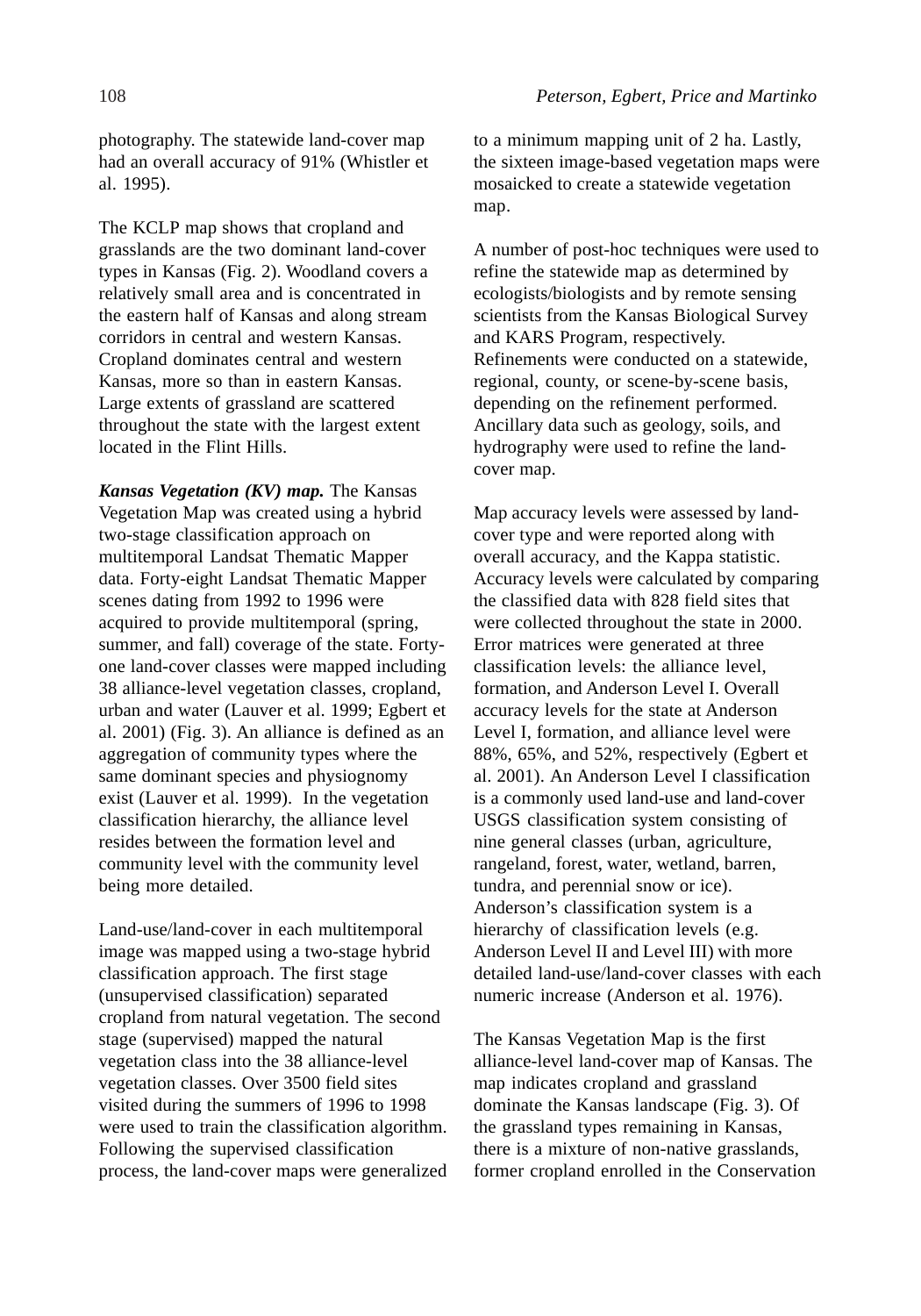photography. The statewide land-cover map had an overall accuracy of 91% (Whistler et al. 1995).

The KCLP map shows that cropland and grasslands are the two dominant land-cover types in Kansas (Fig. 2). Woodland covers a relatively small area and is concentrated in the eastern half of Kansas and along stream corridors in central and western Kansas. Cropland dominates central and western Kansas, more so than in eastern Kansas. Large extents of grassland are scattered throughout the state with the largest extent located in the Flint Hills.

*Kansas Vegetation (KV) map.* The Kansas Vegetation Map was created using a hybrid two-stage classification approach on multitemporal Landsat Thematic Mapper data. Forty-eight Landsat Thematic Mapper scenes dating from 1992 to 1996 were acquired to provide multitemporal (spring, summer, and fall) coverage of the state. Fortyone land-cover classes were mapped including 38 alliance-level vegetation classes, cropland, urban and water (Lauver et al. 1999; Egbert et al. 2001) (Fig. 3). An alliance is defined as an aggregation of community types where the same dominant species and physiognomy exist (Lauver et al. 1999). In the vegetation classification hierarchy, the alliance level resides between the formation level and community level with the community level being more detailed.

Land-use/land-cover in each multitemporal image was mapped using a two-stage hybrid classification approach. The first stage (unsupervised classification) separated cropland from natural vegetation. The second stage (supervised) mapped the natural vegetation class into the 38 alliance-level vegetation classes. Over 3500 field sites visited during the summers of 1996 to 1998 were used to train the classification algorithm. Following the supervised classification process, the land-cover maps were generalized to a minimum mapping unit of 2 ha. Lastly, the sixteen image-based vegetation maps were mosaicked to create a statewide vegetation map.

A number of post-hoc techniques were used to refine the statewide map as determined by ecologists/biologists and by remote sensing scientists from the Kansas Biological Survey and KARS Program, respectively. Refinements were conducted on a statewide, regional, county, or scene-by-scene basis, depending on the refinement performed. Ancillary data such as geology, soils, and hydrography were used to refine the landcover map.

Map accuracy levels were assessed by landcover type and were reported along with overall accuracy, and the Kappa statistic. Accuracy levels were calculated by comparing the classified data with 828 field sites that were collected throughout the state in 2000. Error matrices were generated at three classification levels: the alliance level, formation, and Anderson Level I. Overall accuracy levels for the state at Anderson Level I, formation, and alliance level were 88%, 65%, and 52%, respectively (Egbert et al. 2001). An Anderson Level I classification is a commonly used land-use and land-cover USGS classification system consisting of nine general classes (urban, agriculture, rangeland, forest, water, wetland, barren, tundra, and perennial snow or ice). Anderson's classification system is a hierarchy of classification levels (e.g. Anderson Level II and Level III) with more detailed land-use/land-cover classes with each numeric increase (Anderson et al. 1976).

The Kansas Vegetation Map is the first alliance-level land-cover map of Kansas. The map indicates cropland and grassland dominate the Kansas landscape (Fig. 3). Of the grassland types remaining in Kansas, there is a mixture of non-native grasslands, former cropland enrolled in the Conservation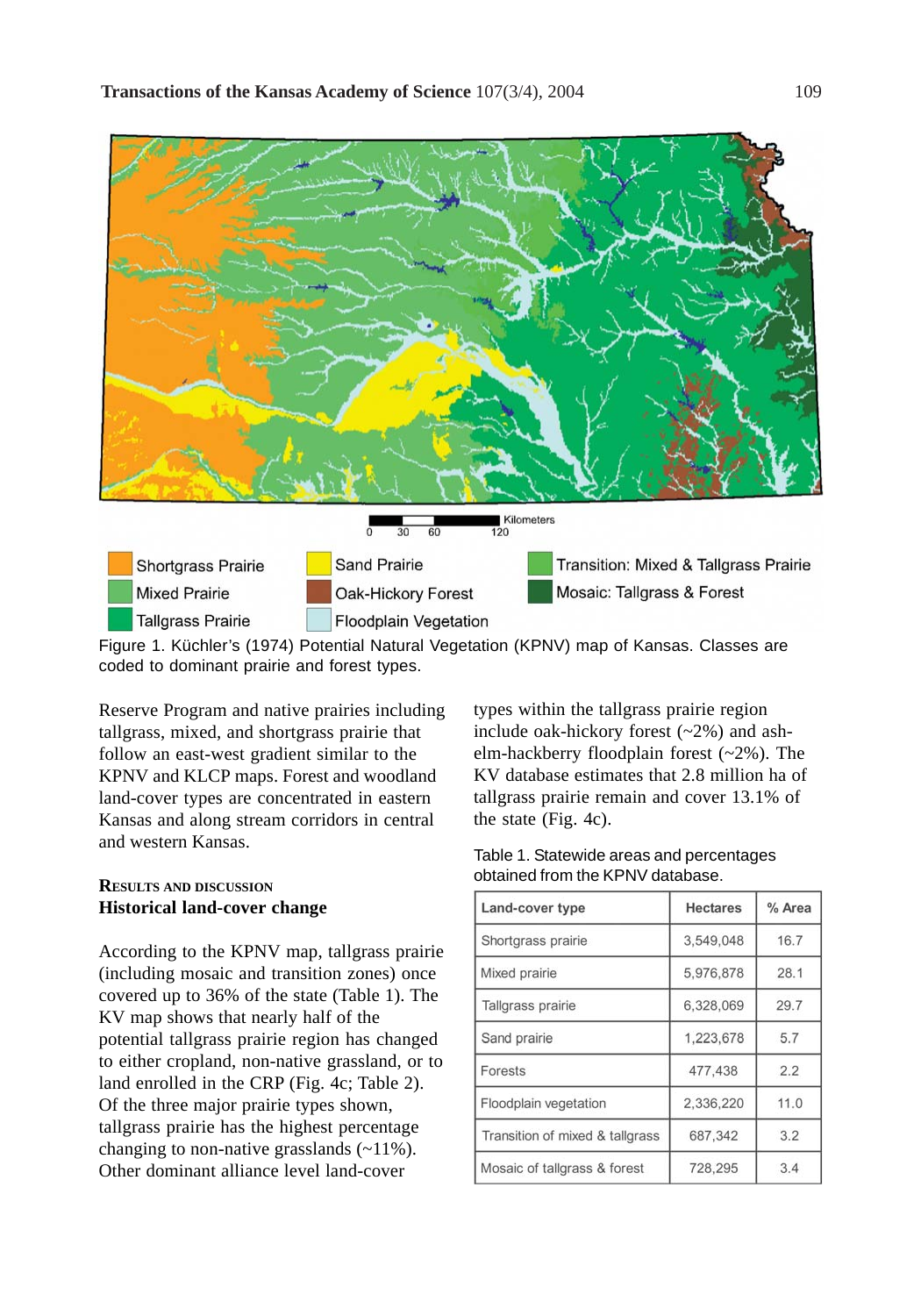

Figure 1. Küchler's (1974) Potential Natural Vegetation (KPNV) map of Kansas. Classes are coded to dominant prairie and forest types.

Reserve Program and native prairies including tallgrass, mixed, and shortgrass prairie that follow an east-west gradient similar to the KPNV and KLCP maps. Forest and woodland land-cover types are concentrated in eastern Kansas and along stream corridors in central and western Kansas.

## **RESULTS AND DISCUSSION Historical land-cover change**

According to the KPNV map, tallgrass prairie (including mosaic and transition zones) once covered up to 36% of the state (Table 1). The KV map shows that nearly half of the potential tallgrass prairie region has changed to either cropland, non-native grassland, or to land enrolled in the CRP (Fig. 4c; Table 2). Of the three major prairie types shown, tallgrass prairie has the highest percentage changing to non-native grasslands (~11%). Other dominant alliance level land-cover

types within the tallgrass prairie region include oak-hickory forest  $(-2%)$  and ashelm-hackberry floodplain forest (~2%). The KV database estimates that 2.8 million ha of tallgrass prairie remain and cover 13.1% of the state (Fig. 4c).

| Table 1. Statewide areas and percentages |
|------------------------------------------|
| obtained from the KPNV database.         |

| Land-cover type                 | <b>Hectares</b> | % Area |
|---------------------------------|-----------------|--------|
| Shortgrass prairie              | 3,549,048       | 16.7   |
| Mixed prairie                   | 5,976,878       | 28.1   |
| Tallgrass prairie               | 6,328,069       | 29.7   |
| Sand prairie                    | 1,223,678       | 5.7    |
| Forests                         | 477,438         | 2.2    |
| Floodplain vegetation           | 2,336,220       | 11.0   |
| Transition of mixed & tallgrass | 687,342         | 3.2    |
| Mosaic of tallgrass & forest    | 728,295         | 3.4    |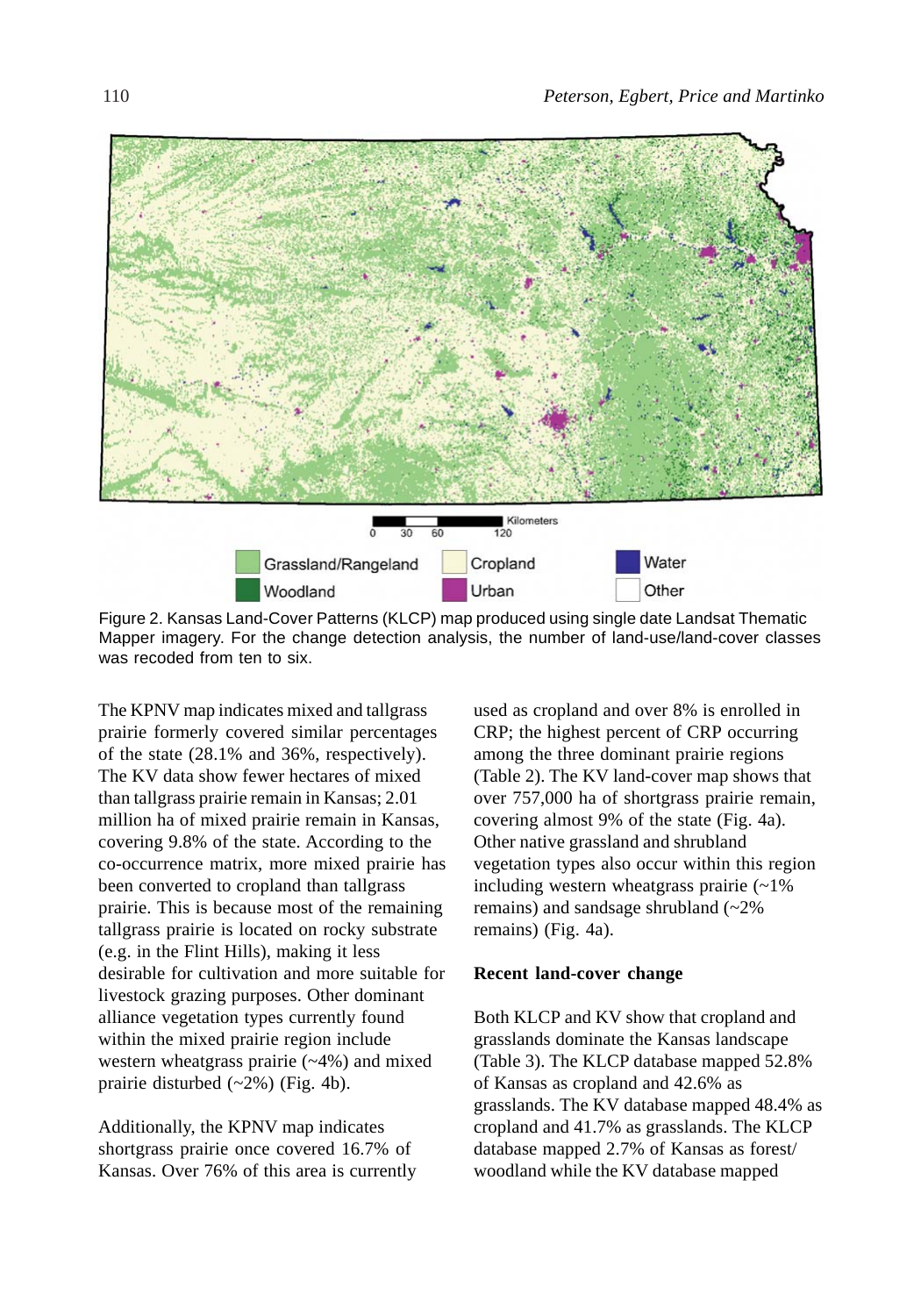

Figure 2. Kansas Land-Cover Patterns (KLCP) map produced using single date Landsat Thematic Mapper imagery. For the change detection analysis, the number of land-use/land-cover classes was recoded from ten to six.

The KPNV map indicates mixed and tallgrass prairie formerly covered similar percentages of the state (28.1% and 36%, respectively). The KV data show fewer hectares of mixed than tallgrass prairie remain in Kansas; 2.01 million ha of mixed prairie remain in Kansas, covering 9.8% of the state. According to the co-occurrence matrix, more mixed prairie has been converted to cropland than tallgrass prairie. This is because most of the remaining tallgrass prairie is located on rocky substrate (e.g. in the Flint Hills), making it less desirable for cultivation and more suitable for livestock grazing purposes. Other dominant alliance vegetation types currently found within the mixed prairie region include western wheatgrass prairie (~4%) and mixed prairie disturbed (~2%) (Fig. 4b).

Additionally, the KPNV map indicates shortgrass prairie once covered 16.7% of Kansas. Over 76% of this area is currently used as cropland and over 8% is enrolled in CRP; the highest percent of CRP occurring among the three dominant prairie regions (Table 2). The KV land-cover map shows that over 757,000 ha of shortgrass prairie remain, covering almost 9% of the state (Fig. 4a). Other native grassland and shrubland vegetation types also occur within this region including western wheatgrass prairie (~1% remains) and sandsage shrubland (~2% remains) (Fig. 4a).

#### **Recent land-cover change**

Both KLCP and KV show that cropland and grasslands dominate the Kansas landscape (Table 3). The KLCP database mapped 52.8% of Kansas as cropland and 42.6% as grasslands. The KV database mapped 48.4% as cropland and 41.7% as grasslands. The KLCP database mapped 2.7% of Kansas as forest/ woodland while the KV database mapped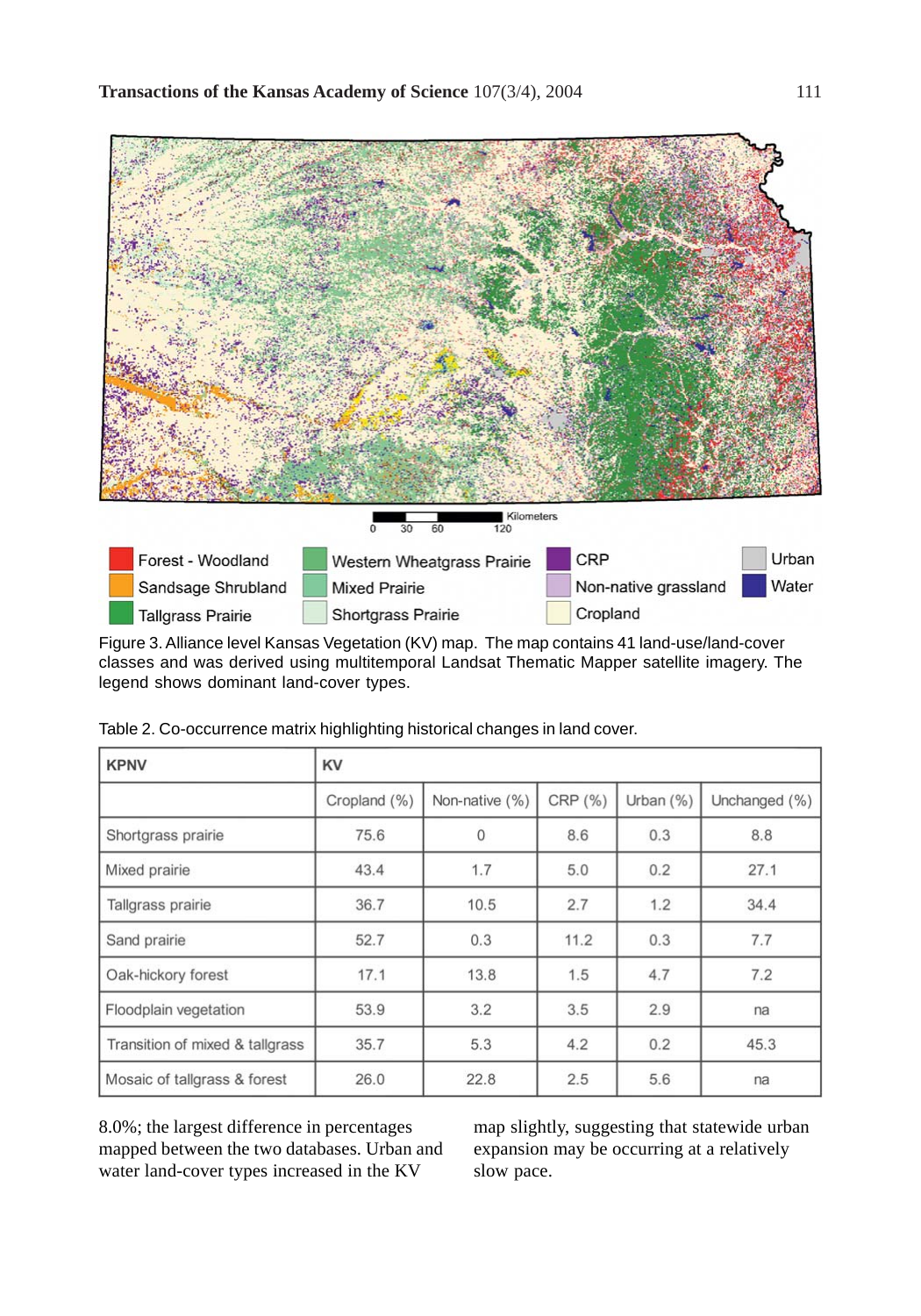

Figure 3. Alliance level Kansas Vegetation (KV) map. The map contains 41 land-use/land-cover classes and was derived using multitemporal Landsat Thematic Mapper satellite imagery. The legend shows dominant land-cover types.

| <b>KPNV</b>                     | KV           |                |         |           |               |  |  |  |
|---------------------------------|--------------|----------------|---------|-----------|---------------|--|--|--|
|                                 | Cropland (%) | Non-native (%) | CRP (%) | Urban (%) | Unchanged (%) |  |  |  |
| Shortgrass prairie              | 75.6         | 0              | 8.6     | 0.3       | 8.8           |  |  |  |
| Mixed prairie                   | 43.4         | 1.7            | 5.0     | 0.2       | 27.1          |  |  |  |
| Tallgrass prairie               | 36.7         | 10.5           | 2.7     | 1.2       | 34.4          |  |  |  |
| Sand prairie                    | 52.7         | 0.3            | 11.2    | 0.3       | 7.7           |  |  |  |
| Oak-hickory forest              | 17.1         | 13.8           | 1.5     | 4.7       | 7.2           |  |  |  |
| Floodplain vegetation           | 53.9         | 3.2            | 3.5     | 2.9       | na            |  |  |  |
| Transition of mixed & tallgrass | 35.7         | 5.3            | 4.2     | 0.2       | 45.3          |  |  |  |
| Mosaic of tallgrass & forest    | 26.0         | 22.8           | 2.5     | 5.6       | na            |  |  |  |

Table 2. Co-occurrence matrix highlighting historical changes in land cover.

8.0%; the largest difference in percentages mapped between the two databases. Urban and water land-cover types increased in the KV

map slightly, suggesting that statewide urban expansion may be occurring at a relatively slow pace.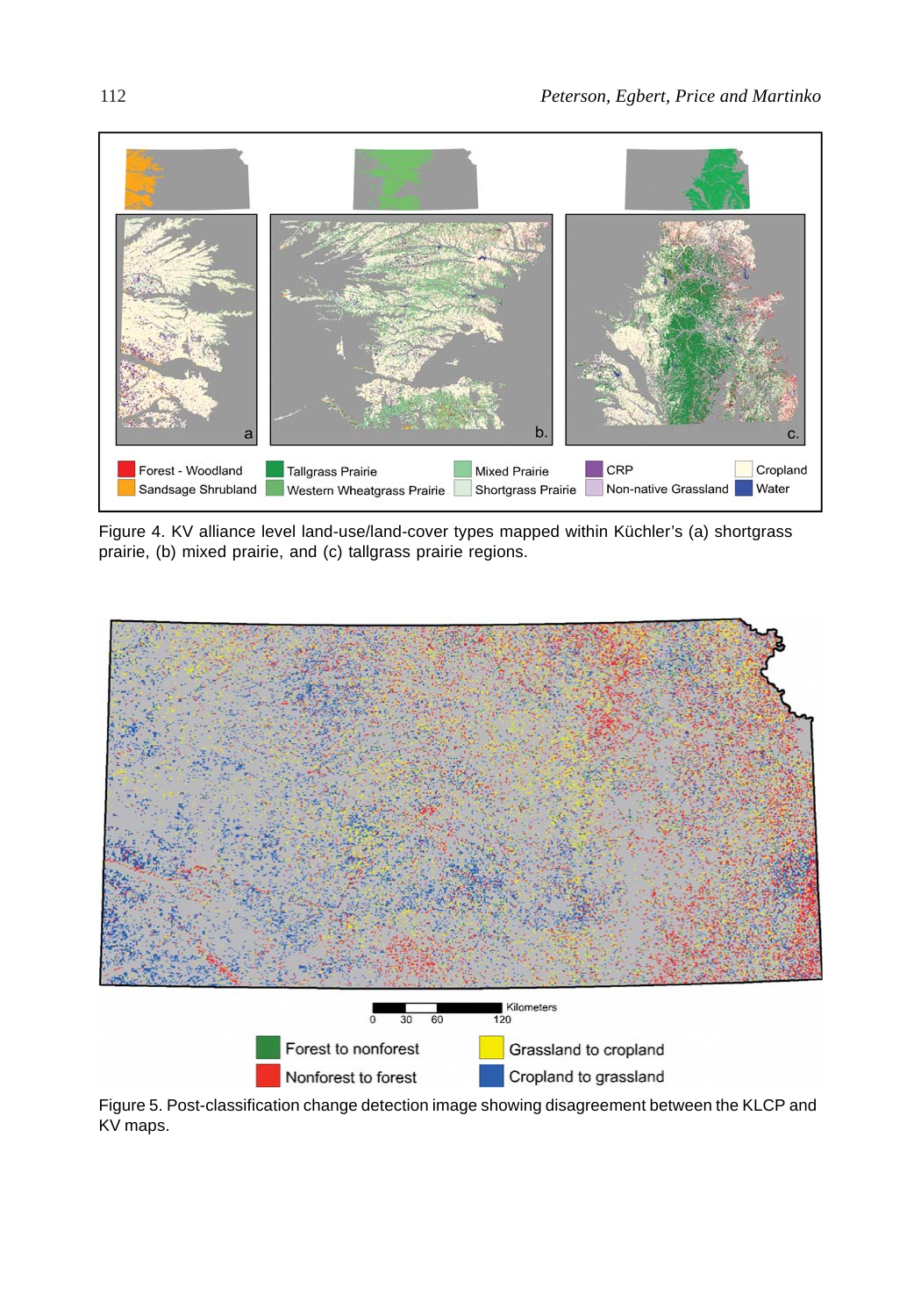

Figure 4. KV alliance level land-use/land-cover types mapped within Küchler's (a) shortgrass prairie, (b) mixed prairie, and (c) tallgrass prairie regions.



Figure 5. Post-classification change detection image showing disagreement between the KLCP and KV maps.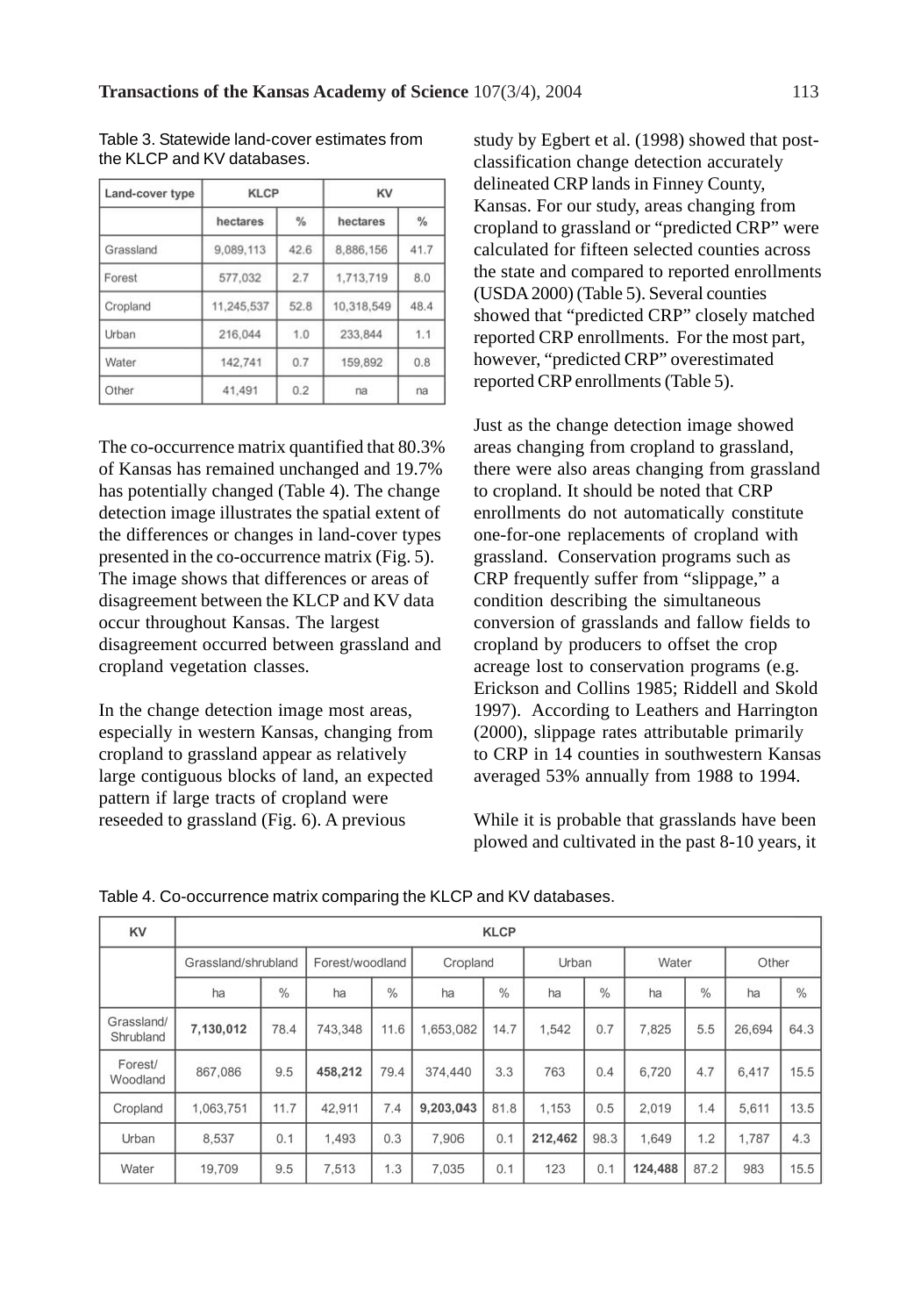| Land-cover type | KLCP       |               | KV         |               |  |
|-----------------|------------|---------------|------------|---------------|--|
|                 | hectares   | $\frac{0}{0}$ | hectares   | $\frac{9}{6}$ |  |
| Grassland       | 9.089,113  | 42.6          | 8,886,156  | 41.7          |  |
| Forest          | 577,032    | 2.7           | 1,713,719  | 8.0           |  |
| Cropland        | 11,245,537 | 52.8          | 10.318,549 | 48.4          |  |
| Urban           | 216,044    | 1.0           | 233,844    | 1.1           |  |
| Water           | 142,741    | 0.7           | 159,892    | 0.8           |  |
| Other           | 41.491     | 0.2           | na         | na            |  |

Table 3. Statewide land-cover estimates from the KLCP and KV databases.

The co-occurrence matrix quantified that 80.3% of Kansas has remained unchanged and 19.7% has potentially changed (Table 4). The change detection image illustrates the spatial extent of the differences or changes in land-cover types presented in the co-occurrence matrix (Fig. 5). The image shows that differences or areas of disagreement between the KLCP and KV data occur throughout Kansas. The largest disagreement occurred between grassland and cropland vegetation classes.

In the change detection image most areas, especially in western Kansas, changing from cropland to grassland appear as relatively large contiguous blocks of land, an expected pattern if large tracts of cropland were reseeded to grassland (Fig. 6). A previous

study by Egbert et al. (1998) showed that postclassification change detection accurately delineated CRP lands in Finney County, Kansas. For our study, areas changing from cropland to grassland or "predicted CRP" were calculated for fifteen selected counties across the state and compared to reported enrollments (USDA 2000) (Table 5). Several counties showed that "predicted CRP" closely matched reported CRP enrollments. For the most part, however, "predicted CRP" overestimated reported CRP enrollments (Table 5).

Just as the change detection image showed areas changing from cropland to grassland, there were also areas changing from grassland to cropland. It should be noted that CRP enrollments do not automatically constitute one-for-one replacements of cropland with grassland. Conservation programs such as CRP frequently suffer from "slippage," a condition describing the simultaneous conversion of grasslands and fallow fields to cropland by producers to offset the crop acreage lost to conservation programs (e.g. Erickson and Collins 1985; Riddell and Skold 1997). According to Leathers and Harrington (2000), slippage rates attributable primarily to CRP in 14 counties in southwestern Kansas averaged 53% annually from 1988 to 1994.

While it is probable that grasslands have been plowed and cultivated in the past 8-10 years, it

| KV                      | <b>KLCP</b>         |      |                 |      |           |      |         |      |         |               |        |               |
|-------------------------|---------------------|------|-----------------|------|-----------|------|---------|------|---------|---------------|--------|---------------|
|                         | Grassland/shrubland |      | Forest/woodland |      | Cropland  |      | Urban   |      | Water   |               | Other  |               |
|                         | ha                  | $\%$ | ha              | $\%$ | ha        | %    | ha      | %    | ha      | $\frac{0}{0}$ | ha     | $\frac{0}{6}$ |
| Grassland/<br>Shrubland | 7,130,012           | 78.4 | 743.348         | 11.6 | 1,653,082 | 14.7 | 1,542   | 0.7  | 7.825   | 5.5           | 26,694 | 64.3          |
| Forest/<br>Woodland     | 867,086             | 9.5  | 458,212         | 79.4 | 374,440   | 3.3  | 763     | 0.4  | 6,720   | 4.7           | 6.417  | 15.5          |
| Cropland                | 1,063,751           | 11.7 | 42.911          | 7.4  | 9.203.043 | 81.8 | 1.153   | 0.5  | 2.019   | 1.4           | 5.611  | 13.5          |
| Urban                   | 8,537               | 0.1  | 1.493           | 0.3  | 7.906     | 0.1  | 212,462 | 98.3 | 1,649   | 1.2           | 1,787  | 4.3           |
| Water                   | 19,709              | 9.5  | 7.513           | 1.3  | 7.035     | 0.1  | 123     | 0.1  | 124,488 | 87.2          | 983    | 15.5          |

Table 4. Co-occurrence matrix comparing the KLCP and KV databases.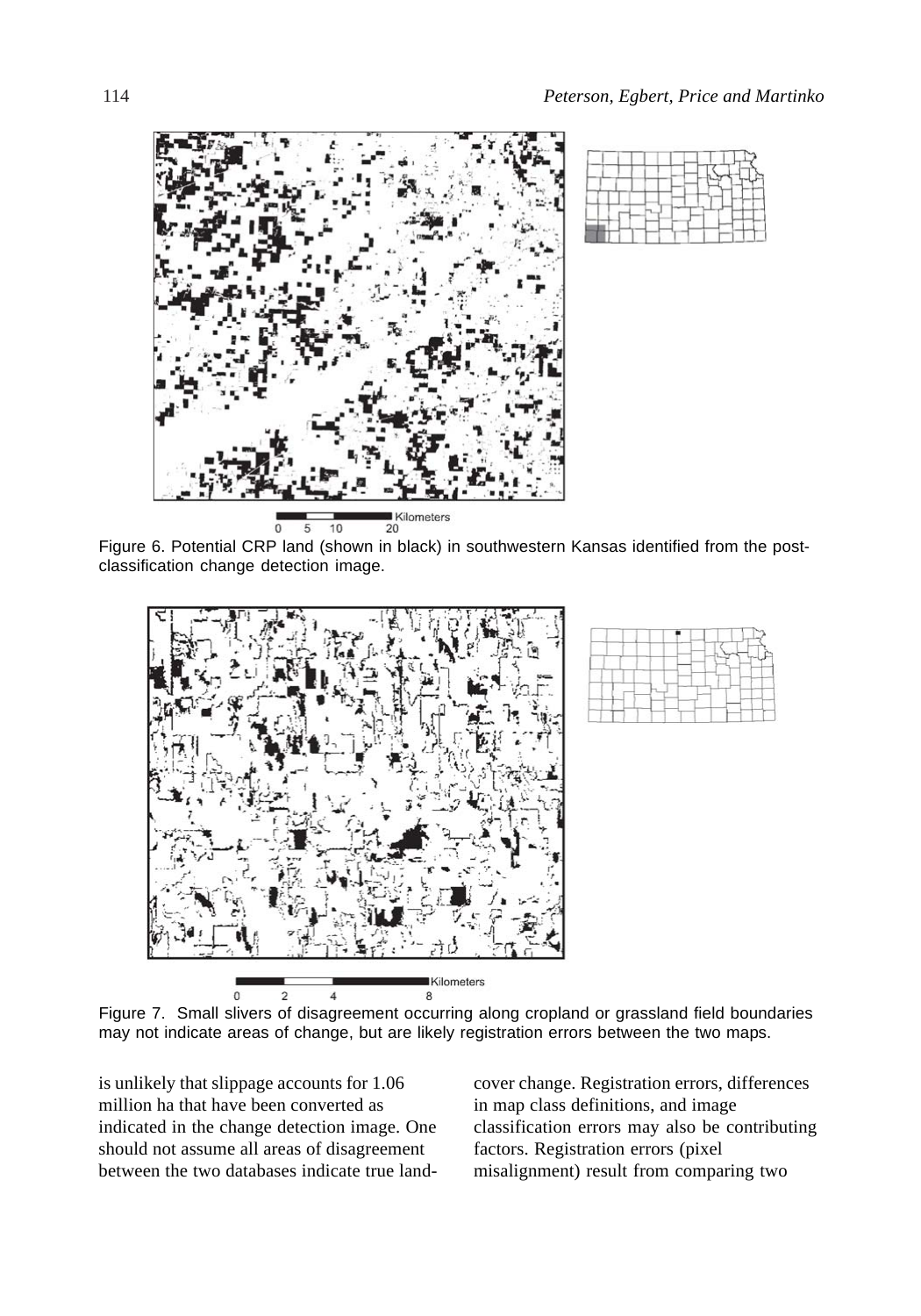



Figure 6. Potential CRP land (shown in black) in southwestern Kansas identified from the postclassification change detection image.





Figure 7. Small slivers of disagreement occurring along cropland or grassland field boundaries may not indicate areas of change, but are likely registration errors between the two maps.

is unlikely that slippage accounts for 1.06 million ha that have been converted as indicated in the change detection image. One should not assume all areas of disagreement between the two databases indicate true landcover change. Registration errors, differences in map class definitions, and image classification errors may also be contributing factors. Registration errors (pixel misalignment) result from comparing two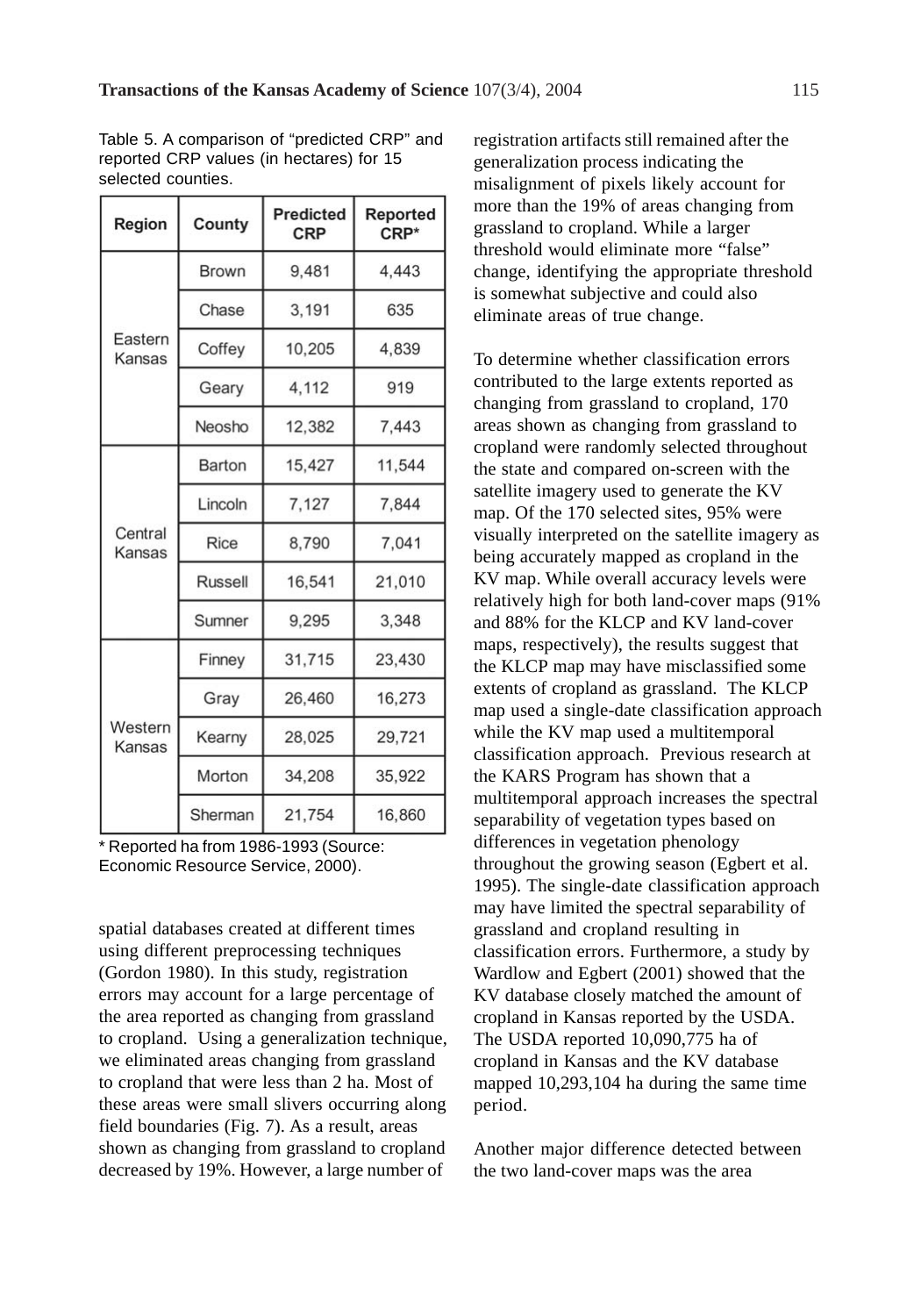Table 5. A comparison of "predicted CRP" and reported CRP values (in hectares) for 15 selected counties.

| Region            | County       | <b>Predicted</b><br>CRP | Reported<br>$CRP*$ |  |
|-------------------|--------------|-------------------------|--------------------|--|
|                   | <b>Brown</b> | 9,481                   | 4.443              |  |
|                   | Chase        | 3,191                   | 635                |  |
| Eastern<br>Kansas | Coffey       | 10,205                  | 4.839              |  |
|                   | Geary        | 4,112                   | 919                |  |
|                   | Neosho       | 12,382                  | 7,443              |  |
| Central<br>Kansas | Barton       | 15,427                  | 11,544             |  |
|                   | Lincoln      | 7,127                   | 7,844              |  |
|                   | Rice         | 8,790                   | 7.041              |  |
|                   | Russell      | 16.541                  | 21,010             |  |
|                   | Sumner       | 9,295                   | 3,348              |  |
| Western<br>Kansas | Finney       | 31,715                  | 23,430             |  |
|                   | Gray         | 26,460                  | 16,273             |  |
|                   | Kearny       | 28,025                  | 29,721             |  |
|                   | Morton       | 34,208                  | 35,922             |  |
|                   | Sherman      | 21,754                  | 16,860             |  |

\* Reported ha from 1986-1993 (Source: Economic Resource Service, 2000).

spatial databases created at different times using different preprocessing techniques (Gordon 1980). In this study, registration errors may account for a large percentage of the area reported as changing from grassland to cropland. Using a generalization technique, we eliminated areas changing from grassland to cropland that were less than 2 ha. Most of these areas were small slivers occurring along field boundaries (Fig. 7). As a result, areas shown as changing from grassland to cropland decreased by 19%. However, a large number of

registration artifacts still remained after the generalization process indicating the misalignment of pixels likely account for more than the 19% of areas changing from grassland to cropland. While a larger threshold would eliminate more "false" change, identifying the appropriate threshold is somewhat subjective and could also eliminate areas of true change.

To determine whether classification errors contributed to the large extents reported as changing from grassland to cropland, 170 areas shown as changing from grassland to cropland were randomly selected throughout the state and compared on-screen with the satellite imagery used to generate the KV map. Of the 170 selected sites, 95% were visually interpreted on the satellite imagery as being accurately mapped as cropland in the KV map. While overall accuracy levels were relatively high for both land-cover maps (91% and 88% for the KLCP and KV land-cover maps, respectively), the results suggest that the KLCP map may have misclassified some extents of cropland as grassland. The KLCP map used a single-date classification approach while the KV map used a multitemporal classification approach. Previous research at the KARS Program has shown that a multitemporal approach increases the spectral separability of vegetation types based on differences in vegetation phenology throughout the growing season (Egbert et al. 1995). The single-date classification approach may have limited the spectral separability of grassland and cropland resulting in classification errors. Furthermore, a study by Wardlow and Egbert (2001) showed that the KV database closely matched the amount of cropland in Kansas reported by the USDA. The USDA reported 10,090,775 ha of cropland in Kansas and the KV database mapped 10,293,104 ha during the same time period.

Another major difference detected between the two land-cover maps was the area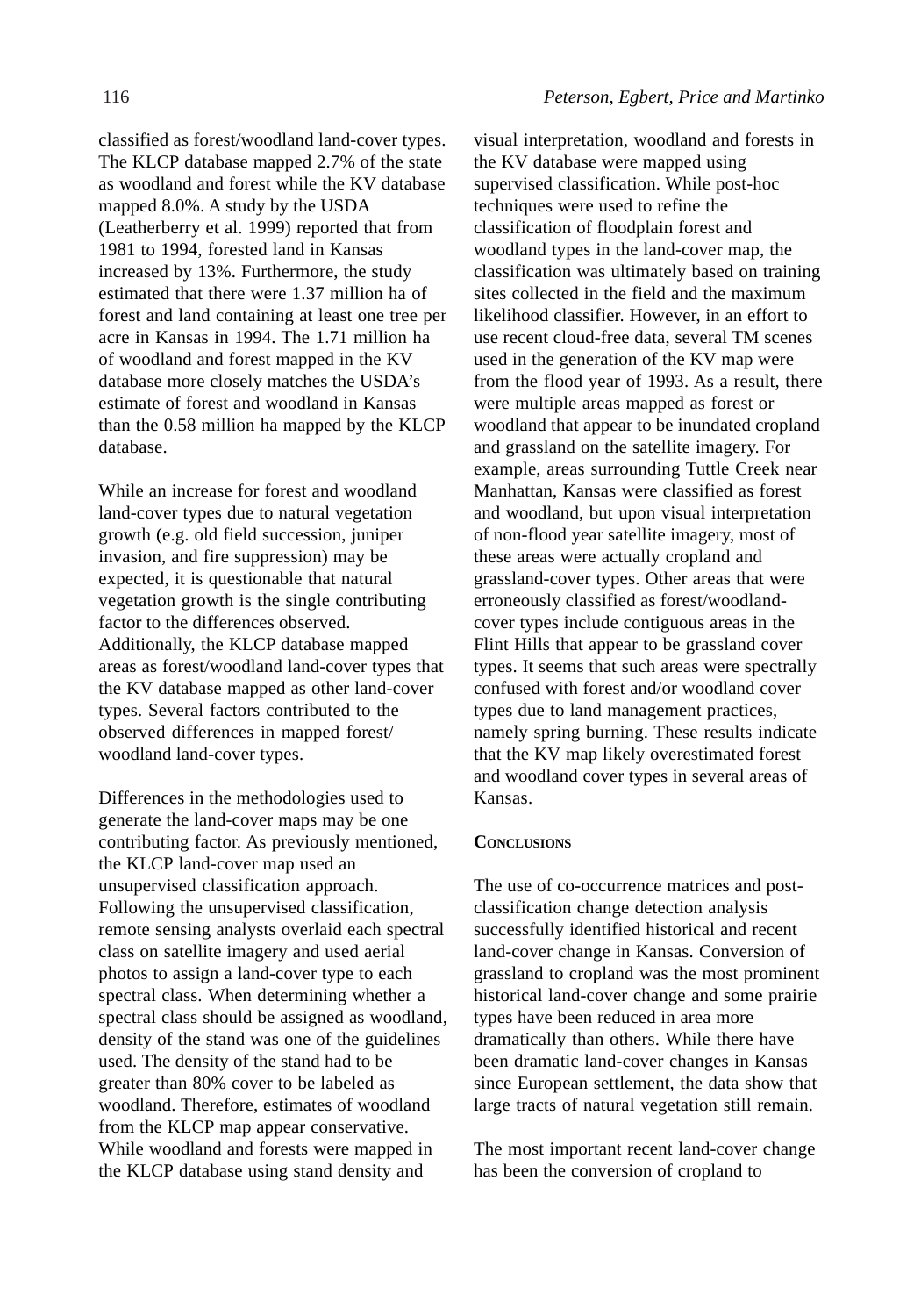classified as forest/woodland land-cover types. The KLCP database mapped 2.7% of the state as woodland and forest while the KV database mapped 8.0%. A study by the USDA (Leatherberry et al. 1999) reported that from 1981 to 1994, forested land in Kansas increased by 13%. Furthermore, the study estimated that there were 1.37 million ha of forest and land containing at least one tree per acre in Kansas in 1994. The 1.71 million ha of woodland and forest mapped in the KV database more closely matches the USDA's estimate of forest and woodland in Kansas than the 0.58 million ha mapped by the KLCP database.

While an increase for forest and woodland land-cover types due to natural vegetation growth (e.g. old field succession, juniper invasion, and fire suppression) may be expected, it is questionable that natural vegetation growth is the single contributing factor to the differences observed. Additionally, the KLCP database mapped areas as forest/woodland land-cover types that the KV database mapped as other land-cover types. Several factors contributed to the observed differences in mapped forest/ woodland land-cover types.

Differences in the methodologies used to generate the land-cover maps may be one contributing factor. As previously mentioned, the KLCP land-cover map used an unsupervised classification approach. Following the unsupervised classification, remote sensing analysts overlaid each spectral class on satellite imagery and used aerial photos to assign a land-cover type to each spectral class. When determining whether a spectral class should be assigned as woodland, density of the stand was one of the guidelines used. The density of the stand had to be greater than 80% cover to be labeled as woodland. Therefore, estimates of woodland from the KLCP map appear conservative. While woodland and forests were mapped in the KLCP database using stand density and

visual interpretation, woodland and forests in the KV database were mapped using supervised classification. While post-hoc techniques were used to refine the classification of floodplain forest and woodland types in the land-cover map, the classification was ultimately based on training sites collected in the field and the maximum likelihood classifier. However, in an effort to use recent cloud-free data, several TM scenes used in the generation of the KV map were from the flood year of 1993. As a result, there were multiple areas mapped as forest or woodland that appear to be inundated cropland and grassland on the satellite imagery. For example, areas surrounding Tuttle Creek near Manhattan, Kansas were classified as forest and woodland, but upon visual interpretation of non-flood year satellite imagery, most of these areas were actually cropland and grassland-cover types. Other areas that were erroneously classified as forest/woodlandcover types include contiguous areas in the Flint Hills that appear to be grassland cover types. It seems that such areas were spectrally confused with forest and/or woodland cover types due to land management practices, namely spring burning. These results indicate that the KV map likely overestimated forest and woodland cover types in several areas of Kansas.

#### **CONCLUSIONS**

The use of co-occurrence matrices and postclassification change detection analysis successfully identified historical and recent land-cover change in Kansas. Conversion of grassland to cropland was the most prominent historical land-cover change and some prairie types have been reduced in area more dramatically than others. While there have been dramatic land-cover changes in Kansas since European settlement, the data show that large tracts of natural vegetation still remain.

The most important recent land-cover change has been the conversion of cropland to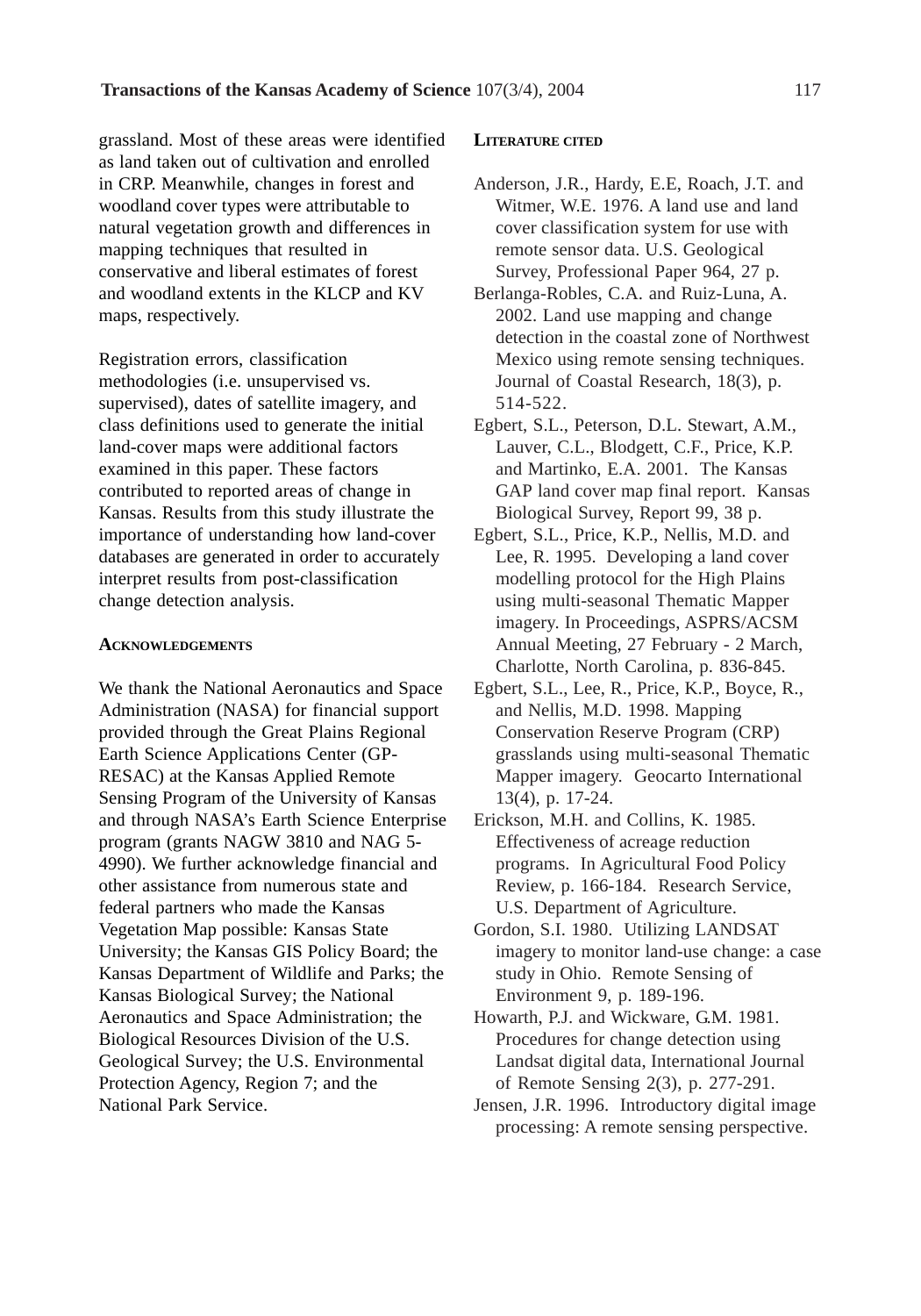grassland. Most of these areas were identified as land taken out of cultivation and enrolled in CRP. Meanwhile, changes in forest and woodland cover types were attributable to natural vegetation growth and differences in mapping techniques that resulted in conservative and liberal estimates of forest and woodland extents in the KLCP and KV maps, respectively.

Registration errors, classification methodologies (i.e. unsupervised vs. supervised), dates of satellite imagery, and class definitions used to generate the initial land-cover maps were additional factors examined in this paper. These factors contributed to reported areas of change in Kansas. Results from this study illustrate the importance of understanding how land-cover databases are generated in order to accurately interpret results from post-classification change detection analysis.

#### **ACKNOWLEDGEMENTS**

We thank the National Aeronautics and Space Administration (NASA) for financial support provided through the Great Plains Regional Earth Science Applications Center (GP-RESAC) at the Kansas Applied Remote Sensing Program of the University of Kansas and through NASA's Earth Science Enterprise program (grants NAGW 3810 and NAG 5- 4990). We further acknowledge financial and other assistance from numerous state and federal partners who made the Kansas Vegetation Map possible: Kansas State University; the Kansas GIS Policy Board; the Kansas Department of Wildlife and Parks; the Kansas Biological Survey; the National Aeronautics and Space Administration; the Biological Resources Division of the U.S. Geological Survey; the U.S. Environmental Protection Agency, Region 7; and the National Park Service.

#### **LITERATURE CITED**

- Anderson, J.R., Hardy, E.E, Roach, J.T. and Witmer, W.E. 1976. A land use and land cover classification system for use with remote sensor data. U.S. Geological Survey, Professional Paper 964, 27 p.
- Berlanga-Robles, C.A. and Ruiz-Luna, A. 2002. Land use mapping and change detection in the coastal zone of Northwest Mexico using remote sensing techniques. Journal of Coastal Research, 18(3), p. 514-522.
- Egbert, S.L., Peterson, D.L. Stewart, A.M., Lauver, C.L., Blodgett, C.F., Price, K.P. and Martinko, E.A. 2001. The Kansas GAP land cover map final report. Kansas Biological Survey, Report 99, 38 p.
- Egbert, S.L., Price, K.P., Nellis, M.D. and Lee, R. 1995. Developing a land cover modelling protocol for the High Plains using multi-seasonal Thematic Mapper imagery. In Proceedings, ASPRS/ACSM Annual Meeting, 27 February - 2 March, Charlotte, North Carolina, p. 836-845.
- Egbert, S.L., Lee, R., Price, K.P., Boyce, R., and Nellis, M.D. 1998. Mapping Conservation Reserve Program (CRP) grasslands using multi-seasonal Thematic Mapper imagery. Geocarto International 13(4), p. 17-24.
- Erickson, M.H. and Collins, K. 1985. Effectiveness of acreage reduction programs. In Agricultural Food Policy Review, p. 166-184. Research Service, U.S. Department of Agriculture.
- Gordon, S.I. 1980. Utilizing LANDSAT imagery to monitor land-use change: a case study in Ohio. Remote Sensing of Environment 9, p. 189-196.
- Howarth, P.J. and Wickware, G.M. 1981. Procedures for change detection using Landsat digital data, International Journal of Remote Sensing 2(3), p. 277-291.
- Jensen, J.R. 1996. Introductory digital image processing: A remote sensing perspective.